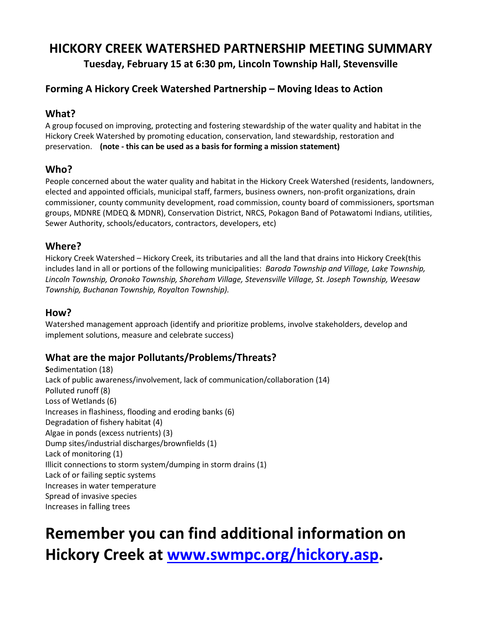## **HICKORY CREEK WATERSHED PARTNERSHIP MEETING SUMMARY**

**Tuesday, February 15 at 6:30 pm, Lincoln Township Hall, Stevensville**

## **Forming A Hickory Creek Watershed Partnership – Moving Ideas to Action**

### **What?**

A group focused on improving, protecting and fostering stewardship of the water quality and habitat in the Hickory Creek Watershed by promoting education, conservation, land stewardship, restoration and preservation. **(note - this can be used as a basis for forming a mission statement)**

### **Who?**

People concerned about the water quality and habitat in the Hickory Creek Watershed (residents, landowners, elected and appointed officials, municipal staff, farmers, business owners, non-profit organizations, drain commissioner, county community development, road commission, county board of commissioners, sportsman groups, MDNRE (MDEQ & MDNR), Conservation District, NRCS, Pokagon Band of Potawatomi Indians, utilities, Sewer Authority, schools/educators, contractors, developers, etc)

### **Where?**

Hickory Creek Watershed – Hickory Creek, its tributaries and all the land that drains into Hickory Creek(this includes land in all or portions of the following municipalities: *Baroda Township and Village, Lake Township, Lincoln Township, Oronoko Township, Shoreham Village, Stevensville Village, St. Joseph Township, Weesaw Township, Buchanan Township, Royalton Township).*

### **How?**

Watershed management approach (identify and prioritize problems, involve stakeholders, develop and implement solutions, measure and celebrate success)

## **What are the major Pollutants/Problems/Threats?**

**S**edimentation (18) Lack of public awareness/involvement, lack of communication/collaboration (14) Polluted runoff (8) Loss of Wetlands (6) Increases in flashiness, flooding and eroding banks (6) Degradation of fishery habitat (4) Algae in ponds (excess nutrients) (3) Dump sites/industrial discharges/brownfields (1) Lack of monitoring (1) Illicit connections to storm system/dumping in storm drains (1) Lack of or failing septic systems Increases in water temperature Spread of invasive species Increases in falling trees

# **Remember you can find additional information on Hickory Creek at [www.swmpc.org/hickory.asp.](http://www.swmpc.org/hickory.asp)**